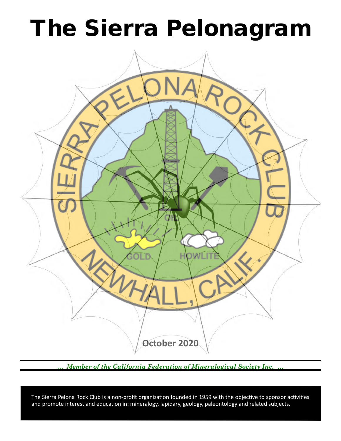# The Sierra Pelonagram



*… Member of the California Federation of Mineralogical Society Inc. …*

 and promote interest and education in: mineralogy, lapidary, geology, paleontology and related subjects. The Sierra Pelona Rock Club is a non-profit organization founded in 1959 with the objective to sponsor activities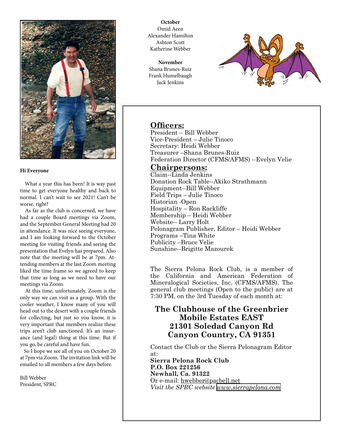

#### **Hi Everyone**

 What a year this has been! It is way past time to get everyone healthy and back to normal. I can't wait to see 2021! Can't be worse, right?

 As far as the club is concerned, we have had a couple Board meetings via Zoom, and the September General Meeting had 20 in attendance. It was nice seeing everyone, and I am looking forward to the October meeting for visiting friends and seeing the presentation that Evelyn has prepared. Also note that the meeting will be at 7pm. Attending members at the last Zoom meeting liked the time frame so we agreed to keep that time as long as we need to have our meetings via Zoom.

 At this time, unfortunately, Zoom is the only way we can visit as a group. With the cooler weather, I know many of you will head out to the desert with a couple friends for collecting, but just so you know, it is very important that members realize these trips aren't club sanctioned. It's an insurance (and legal) thing at this time. But if you go, be careful and have fun.

 So I hope we see all of you on October 20 at 7pm via Zoom. The invitation link will be emailed to all members a few days before.

Bill Webber President, SPRC

**October** Omid Aeen Alexander Hamilton Ashton Scott Katherine Webber

**November** Shana Brunes-Ruiz Frank Humelbaugh Jack Jenkins



# **Officers:**

President – Bill Webber Vice‑President – Julie Tinoco Secretary: Heidi Webber Treasurer –Shana Brunes-Ruiz Federation Director (CFMS/AFMS) --Evelyn Velie

# **Chairpersons:**

Claim--Linda Jenkins Donation Rock Table--Akiko Strathmann Equipment--Bill Webber Field Trips – Julie Tinoco Historian ‑Open Hospitality – Ron Rackliffe Membership – Heidi Webber Website-- Larry Holt Pelonagram Publisher, Editor – Heidi Webber Programs –Tina White Publicity –Bruce Velie Sunshine--Brigitte Mazourek

The Sierra Pelona Rock Club, is a member of the California and American Federation of Mineralogical Societies, Inc. (CFMS/AFMS). The general club meetings (Open to the public) are at 7:30 PM, on the 3rd Tuesday of each month at:

# **The Clubhouse of the Greenbrier Mobile Estates EAST 21301 Soledad Canyon Rd Canyon Country, CA 91351**

Contact the Club or the Sierra Pelonagram Editor at:

**Sierra Pelona Rock Club P.O. Box 221256 Newhall, Ca. 91322** Or e‑mail: hwebber@pacbell.net *Visit the SPRC website [www.sierrapelona.com](http://www.sierrapelona.com/)*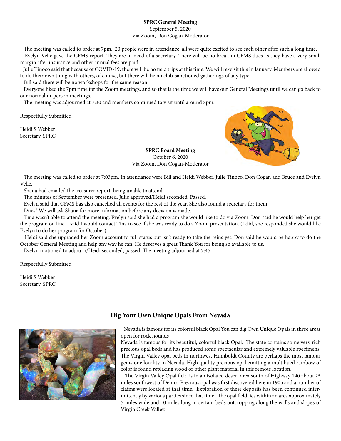# **SPRC General Meeting**

September 5, 2020 Via Zoom, Don Cogan-Moderator

 The meeting was called to order at 7pm. 20 people were in attendance; all were quite excited to see each other after such a long time. Evelyn Velie gave the CFMS report. They are in need of a secretary. There will be no break in CFMS dues as they have a very small margin after insurance and other annual fees are paid.

 Julie Tinoco said that because of COVID-19, there will be no field trips at this time. We will re-visit this in January. Members are allowed to do their own thing with others, of course, but there will be no club-sanctioned gatherings of any type.

Bill said there will be no workshops for the same reason.

 Everyone liked the 7pm time for the Zoom meetings, and so that is the time we will have our General Meetings until we can go back to our normal in-person meetings.

The meeting was adjourned at 7:30 and members continued to visit until around 8pm.

Respectfully Submitted

Heidi S Webber Secretary, SPRC



**SPRC Board Meeting** October 6, 2020 Via Zoom, Don Cogan-Moderator

 The meeting was called to order at 7:03pm. In attendance were Bill and Heidi Webber, Julie Tinoco, Don Cogan and Bruce and Evelyn Velie.

Shana had emailed the treasurer report, being unable to attend.

The minutes of September were presented. Julie approved/Heidi seconded. Passed.

Evelyn said that CFMS has also cancelled all events for the rest of the year. She also found a secretary for them.

Dues? We will ask Shana for more information before any decision is made.

 Tina wasn't able to attend the meeting. Evelyn said she had a program she would like to do via Zoom. Don said he would help her get the program on line. I said I would contact Tina to see if she was ready to do a Zoom presentation. (I did, she responded she would like Evelyn to do her program for October).

 Heidi said she upgraded her Zoom account to full status but isn't ready to take the reins yet. Don said he would be happy to do the October General Meeting and help any way he can. He deserves a great Thank You for being so available to us.

Evelyn motioned to adjourn/Heidi seconded, passed. The meeting adjourned at 7:45.

Respectfully Submitted

Heidi S Webber Secretary, SPRC



# **Dig Your Own Unique Opals From Nevada**

 Nevada is famous for its colorful black Opal You can dig Own Unique Opals in three areas open for rock hounds

Nevada is famous for its beautiful, colorful black Opal. The state contains some very rich precious opal beds and has produced some spectacular and extremely valuable specimens. The Virgin Valley opal beds in northwest Humboldt County are perhaps the most famous gemstone locality in Nevada. High quality precious opal emitting a multihued rainbow of color is found replacing wood or other plant material in this remote location.

 The Virgin Valley Opal field is in an isolated desert area south of Highway 140 about 25 miles southwest of Denio. Precious opal was first discovered here in 1905 and a number of claims were located at that time. Exploration of these deposits has been continued intermittently by various parties since that time. The opal field lies within an area approximately 5 miles wide and 10 miles long in certain beds outcropping along the walls and slopes of Virgin Creek Valley.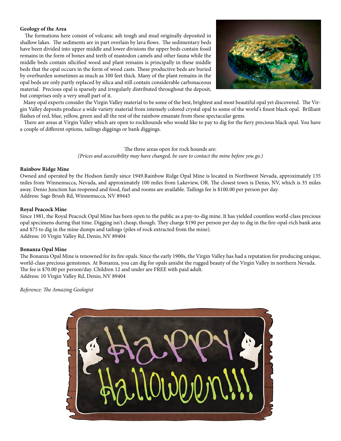### **Geology of the Area**

 The formations here consist of volcanic ash tough and mud originally deposited in shallow lakes. The sediments are in part overlain by lava flows. The sedimentary beds have been divided into upper middle and lower divisions the upper beds contain fossil remains in the form of bones and teeth of mastodon camels and other fauna while the middle beds contain silicified wood and plant remains is principally in these middle beds that the opal occurs in the form of wood casts. These productive beds are buried by overburden sometimes as much as 100 feet thick. Many of the plant remains in the opal beds are only partly replaced by silica and still contain considerable carbonaceous material. Precious opal is sparsely and irregularly distributed throughout the deposit, but comprises only a very small part of it.



 Many opal experts consider the Virgin Valley material to be some of the best, brightest and most beautiful opal yet discovered. The Virgin Valley deposits produce a wide variety material from intensely colored crystal opal to some of the world's finest black opal. Brilliant flashes of red, blue, yellow, green and all the rest of the rainbow emanate from these spectacular gems.

 There are areas at Virgin Valley which are open to rockhounds who would like to pay to dig for the fiery precious black opal. You have a couple of different options, tailings diggings or bank diggings.

> The three areas open for rock hounds are: *(Prices and accessibility may have changed, be sure to contact the mine before you go.)*

### **Rainbow Ridge Mine**

Owned and operated by the Hodson family since 1949.Rainbow Ridge Opal Mine is located in Northwest Nevada, approximately 135 miles from Winnemucca, Nevada, and approximately 100 miles from Lakeview, OR. The closest town is Denio, NV, which is 35 miles away. Denio Junction has reopened and food, fuel and rooms are available. Tailings fee is \$100.00 per person per day. Address: Sage Brush Rd, Winnemucca, NV 89445

## **Royal Peacock Mine**

Since 1981, the Royal Peacock Opal Mine has been open to the public as a pay-to-dig mine. It has yielded countless world-class precious opal specimens during that time. Digging isn't cheap, though. They charge \$190 per person per day to dig in the fire-opal-rich bank area and \$75 to dig in the mine dumps and tailings (piles of rock extracted from the mine). Address: 10 Virgin Valley Rd, Denio, NV 89404

# **Bonanza Opal Mine**

The Bonanza Opal Mine is renowned for its fire opals. Since the early 1900s, the Virgin Valley has had a reputation for producing unique, world-class precious gemstones. At Bonanza, you can dig for opals amidst the rugged beauty of the Virgin Valley in northern Nevada. The fee is \$70.00 per person/day. Children 12 and under are FREE with paid adult. Address: 10 Virgin Valley Rd, Denio, NV 89404

*Reference: The Amazing Geologist*

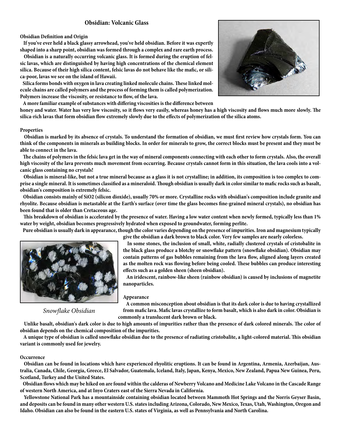# **Obsidian: Volcanic Glass**

#### **Obsidian Definition and Origin**

 **If you've ever held a black glassy arrowhead, you've held obsidian. Before it was expertly shaped into a sharp point, obsidian was formed through a complex and rare earth process.**

 **Obsidian is a naturally occurring volcanic glass. It is formed during the eruption of felsic lavas, which are distinguished by having high concentrations of the chemical element silica. Because of their high silica content, felsic lavas do not behave like the mafic, or silica-poor, lavas we see on the island of Hawaii.**

 **Silica forms bonds with oxygen in lava creating linked molecule chains. These linked molecule chains are called polymers and the process of forming them is called polymerization. Polymers increase the viscosity, or resistance to flow, of the lava.**

 **A more familiar example of substances with differing viscosities is the difference between** 

**honey and water. Water has very low viscosity, so it flows very easily, whereas honey has a high viscosity and flows much more slowly. The silica-rich lavas that form obsidian flow extremely slowly due to the effects of polymerization of the silica atoms.**

#### **Properties**

 **Obsidian is marked by its absence of crystals. To understand the formation of obsidian, we must first review how crystals form. You can think of the components in minerals as building blocks. In order for minerals to grow, the correct blocks must be present and they must be able to connect in the lava.**

 **The chains of polymers in the felsic lava get in the way of mineral components connecting with each other to form crystals. Also, the overall high viscosity of the lava prevents much movement from occurring. Because crystals cannot form in this situation, the lava cools into a volcanic glass containing no crystals!**

 **Obsidian is mineral-like, but not a true mineral because as a glass it is not crystalline; in addition, its composition is too complex to comprise a single mineral. It is sometimes classified as a mineraloid. Though obsidian is usually dark in color similar to mafic rocks such as basalt, obsidian's composition is extremely felsic.**

 **Obsidian consists mainly of SiO2 (silicon dioxide), usually 70% or more. Crystalline rocks with obsidian's composition include granite and rhyolite. Because obsidian is metastable at the Earth's surface (over time the glass becomes fine-grained mineral crystals), no obsidian has been found that is older than Cretaceous age.** 

 **This breakdown of obsidian is accelerated by the presence of water. Having a low water content when newly formed, typically less than 1% water by weight, obsidian becomes progressively hydrated when exposed to groundwater, forming perlite.**

 **Pure obsidian is usually dark in appearance, though the color varies depending on the presence of impurities. Iron and magnesium typically** 



*Snowflake Obsidian*

**give the obsidian a dark brown to black color. Very few samples are nearly colorless.**

 **In some stones, the inclusion of small, white, radially clustered crystals of cristobalite in the black glass produce a blotchy or snowflake pattern (snowflake obsidian). Obsidian may contain patterns of gas bubbles remaining from the lava flow, aligned along layers created as the molten rock was flowing before being cooled. These bubbles can produce interesting effects such as a golden sheen (sheen obsidian).**

 **An iridescent, rainbow-like sheen (rainbow obsidian) is caused by inclusions of magnetite nanoparticles.** 

#### **Appearance**

 **A common misconception about obsidian is that its dark color is due to having crystallized from mafic lava. Mafic lavas crystallize to form basalt, which is also dark in color. Obsidian is commonly a translucent dark brown or black.**

 **Unlike basalt, obsidian's dark color is due to high amounts of impurities rather than the presence of dark colored minerals. The color of obsidian depends on the chemical composition of the impurities.**

 **A unique type of obsidian is called snowflake obsidian due to the presence of radiating cristobalite, a light-colored material. This obsidian variant is commonly used for jewelry.**

#### **Occurrence**

 **Obsidian can be found in locations which have experienced rhyolitic eruptions. It can be found in Argentina, Armenia, Azerbaijan, Australia, Canada, Chile, Georgia, Greece, El Salvador, Guatemala, Iceland, Italy, Japan, Kenya, Mexico, New Zealand, Papua New Guinea, Peru, Scotland, Turkey and the United States.** 

 **Obsidian flows which may be hiked on are found within the calderas of Newberry Volcano and Medicine Lake Volcano in the Cascade Range of western North America, and at Inyo Craters east of the Sierra Nevada in California.**

 **Yellowstone National Park has a mountainside containing obsidian located between Mammoth Hot Springs and the Norris Geyser Basin, and deposits can be found in many other western U.S. states including Arizona, Colorado, New Mexico, Texas, Utah, Washington, Oregon and Idaho. Obsidian can also be found in the eastern U.S. states of Virginia, as well as Pennsylvania and North Carolina.**